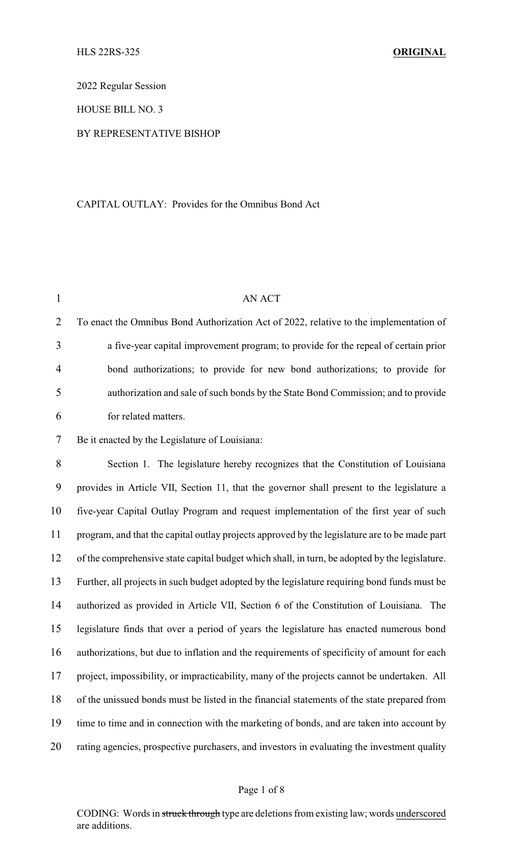2022 Regular Session

HOUSE BILL NO. 3

# BY REPRESENTATIVE BISHOP

# CAPITAL OUTLAY: Provides for the Omnibus Bond Act

| $\mathbf{1}$   | AN ACT                                                                                         |
|----------------|------------------------------------------------------------------------------------------------|
| $\overline{2}$ | To enact the Omnibus Bond Authorization Act of 2022, relative to the implementation of         |
| 3              | a five-year capital improvement program; to provide for the repeal of certain prior            |
| 4              | bond authorizations; to provide for new bond authorizations; to provide for                    |
| 5              | authorization and sale of such bonds by the State Bond Commission; and to provide              |
| 6              | for related matters.                                                                           |
| 7              | Be it enacted by the Legislature of Louisiana:                                                 |
| 8              | Section 1. The legislature hereby recognizes that the Constitution of Louisiana                |
| 9              | provides in Article VII, Section 11, that the governor shall present to the legislature a      |
| 10             | five-year Capital Outlay Program and request implementation of the first year of such          |
| 11             | program, and that the capital outlay projects approved by the legislature are to be made part  |
| 12             | of the comprehensive state capital budget which shall, in turn, be adopted by the legislature. |
| 13             | Further, all projects in such budget adopted by the legislature requiring bond funds must be   |
| 14             | authorized as provided in Article VII, Section 6 of the Constitution of Louisiana. The         |
| 15             | legislature finds that over a period of years the legislature has enacted numerous bond        |
| 16             | authorizations, but due to inflation and the requirements of specificity of amount for each    |
| 17             | project, impossibility, or impracticability, many of the projects cannot be undertaken. All    |
| 18             | of the unissued bonds must be listed in the financial statements of the state prepared from    |
| 19             | time to time and in connection with the marketing of bonds, and are taken into account by      |
| 20             | rating agencies, prospective purchasers, and investors in evaluating the investment quality    |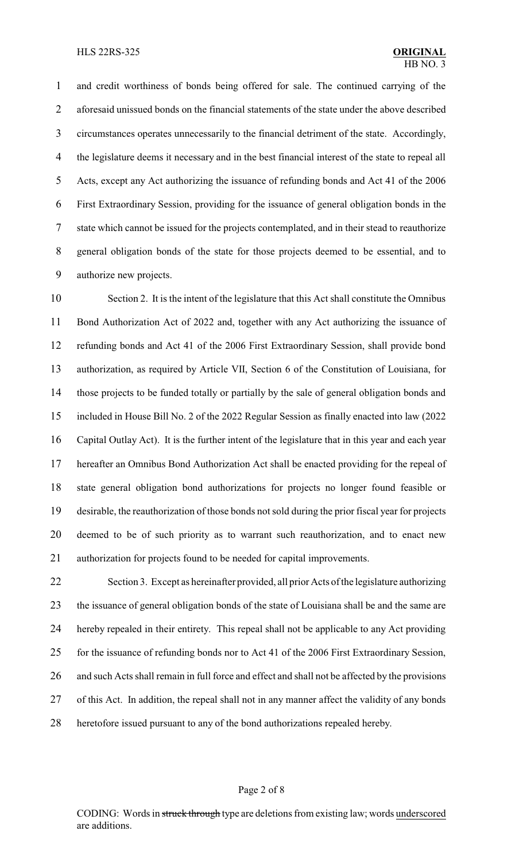and credit worthiness of bonds being offered for sale. The continued carrying of the aforesaid unissued bonds on the financial statements of the state under the above described circumstances operates unnecessarily to the financial detriment of the state. Accordingly, the legislature deems it necessary and in the best financial interest of the state to repeal all Acts, except any Act authorizing the issuance of refunding bonds and Act 41 of the 2006 First Extraordinary Session, providing for the issuance of general obligation bonds in the state which cannot be issued for the projects contemplated, and in their stead to reauthorize general obligation bonds of the state for those projects deemed to be essential, and to authorize new projects.

 Section 2. It is the intent of the legislature that this Act shall constitute the Omnibus Bond Authorization Act of 2022 and, together with any Act authorizing the issuance of refunding bonds and Act 41 of the 2006 First Extraordinary Session, shall provide bond authorization, as required by Article VII, Section 6 of the Constitution of Louisiana, for those projects to be funded totally or partially by the sale of general obligation bonds and included in House Bill No. 2 of the 2022 Regular Session as finally enacted into law (2022 Capital Outlay Act). It is the further intent of the legislature that in this year and each year hereafter an Omnibus Bond Authorization Act shall be enacted providing for the repeal of state general obligation bond authorizations for projects no longer found feasible or desirable, the reauthorization of those bonds not sold during the prior fiscal year for projects deemed to be of such priority as to warrant such reauthorization, and to enact new authorization for projects found to be needed for capital improvements.

 Section 3. Except as hereinafter provided, all prior Acts of the legislature authorizing the issuance of general obligation bonds of the state of Louisiana shall be and the same are hereby repealed in their entirety. This repeal shall not be applicable to any Act providing for the issuance of refunding bonds nor to Act 41 of the 2006 First Extraordinary Session, and such Acts shall remain in full force and effect and shall not be affected by the provisions of this Act. In addition, the repeal shall not in any manner affect the validity of any bonds heretofore issued pursuant to any of the bond authorizations repealed hereby.

# Page 2 of 8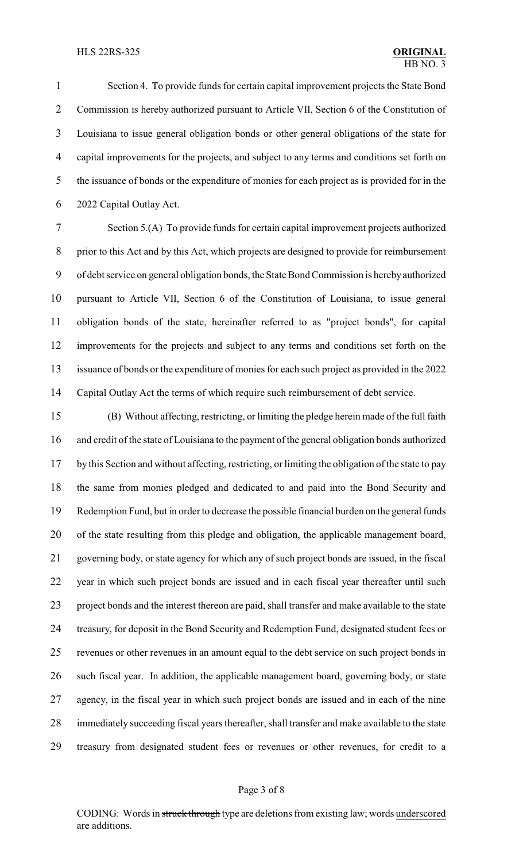Section 4. To provide funds for certain capital improvement projects the State Bond Commission is hereby authorized pursuant to Article VII, Section 6 of the Constitution of Louisiana to issue general obligation bonds or other general obligations of the state for capital improvements for the projects, and subject to any terms and conditions set forth on the issuance of bonds or the expenditure of monies for each project as is provided for in the 2022 Capital Outlay Act.

 Section 5.(A) To provide funds for certain capital improvement projects authorized prior to this Act and by this Act, which projects are designed to provide for reimbursement of debt service on general obligation bonds, the State Bond Commission is herebyauthorized pursuant to Article VII, Section 6 of the Constitution of Louisiana, to issue general obligation bonds of the state, hereinafter referred to as "project bonds", for capital improvements for the projects and subject to any terms and conditions set forth on the issuance of bonds or the expenditure of monies for each such project as provided in the 2022 Capital Outlay Act the terms of which require such reimbursement of debt service.

 (B) Without affecting, restricting, or limiting the pledge herein made of the full faith and credit of the state of Louisiana to the payment of the general obligation bonds authorized by this Section and without affecting, restricting, or limiting the obligation of the state to pay the same from monies pledged and dedicated to and paid into the Bond Security and Redemption Fund, but in order to decrease the possible financial burden on the general funds of the state resulting from this pledge and obligation, the applicable management board, governing body, or state agency for which any of such project bonds are issued, in the fiscal year in which such project bonds are issued and in each fiscal year thereafter until such project bonds and the interest thereon are paid, shall transfer and make available to the state treasury, for deposit in the Bond Security and Redemption Fund, designated student fees or revenues or other revenues in an amount equal to the debt service on such project bonds in such fiscal year. In addition, the applicable management board, governing body, or state agency, in the fiscal year in which such project bonds are issued and in each of the nine immediately succeeding fiscal years thereafter, shall transfer and make available to the state treasury from designated student fees or revenues or other revenues, for credit to a

### Page 3 of 8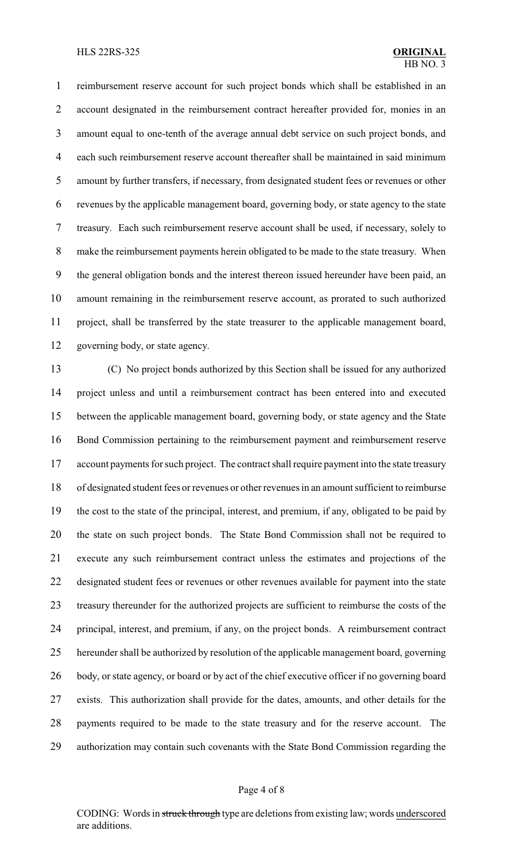reimbursement reserve account for such project bonds which shall be established in an account designated in the reimbursement contract hereafter provided for, monies in an amount equal to one-tenth of the average annual debt service on such project bonds, and each such reimbursement reserve account thereafter shall be maintained in said minimum amount by further transfers, if necessary, from designated student fees or revenues or other revenues by the applicable management board, governing body, or state agency to the state treasury. Each such reimbursement reserve account shall be used, if necessary, solely to make the reimbursement payments herein obligated to be made to the state treasury. When the general obligation bonds and the interest thereon issued hereunder have been paid, an amount remaining in the reimbursement reserve account, as prorated to such authorized project, shall be transferred by the state treasurer to the applicable management board, governing body, or state agency.

 (C) No project bonds authorized by this Section shall be issued for any authorized project unless and until a reimbursement contract has been entered into and executed between the applicable management board, governing body, or state agency and the State Bond Commission pertaining to the reimbursement payment and reimbursement reserve 17 account payments for such project. The contract shall require payment into the state treasury of designated student fees or revenues or other revenues in an amount sufficient to reimburse the cost to the state of the principal, interest, and premium, if any, obligated to be paid by the state on such project bonds. The State Bond Commission shall not be required to execute any such reimbursement contract unless the estimates and projections of the designated student fees or revenues or other revenues available for payment into the state treasury thereunder for the authorized projects are sufficient to reimburse the costs of the principal, interest, and premium, if any, on the project bonds. A reimbursement contract hereunder shall be authorized by resolution of the applicable management board, governing body, or state agency, or board or by act of the chief executive officer if no governing board exists. This authorization shall provide for the dates, amounts, and other details for the payments required to be made to the state treasury and for the reserve account. The authorization may contain such covenants with the State Bond Commission regarding the

### Page 4 of 8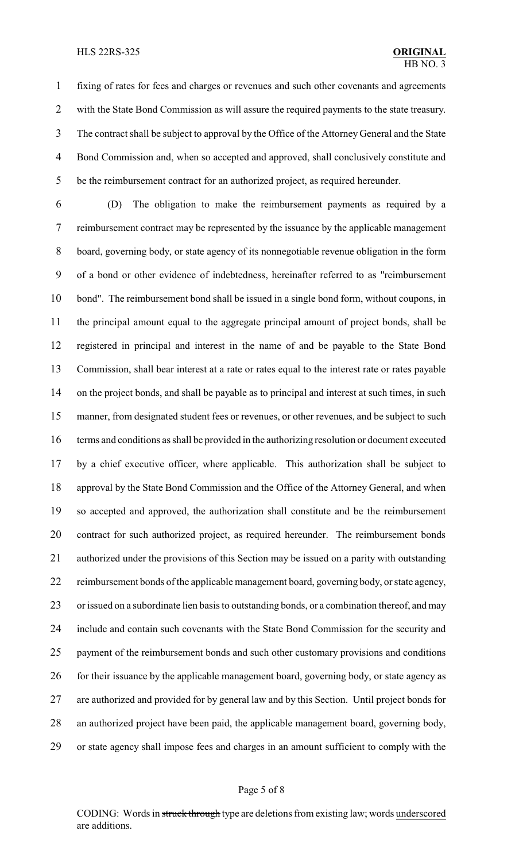fixing of rates for fees and charges or revenues and such other covenants and agreements with the State Bond Commission as will assure the required payments to the state treasury. The contract shall be subject to approval by the Office of the Attorney General and the State Bond Commission and, when so accepted and approved, shall conclusively constitute and be the reimbursement contract for an authorized project, as required hereunder.

 (D) The obligation to make the reimbursement payments as required by a reimbursement contract may be represented by the issuance by the applicable management board, governing body, or state agency of its nonnegotiable revenue obligation in the form of a bond or other evidence of indebtedness, hereinafter referred to as "reimbursement bond". The reimbursement bond shall be issued in a single bond form, without coupons, in the principal amount equal to the aggregate principal amount of project bonds, shall be registered in principal and interest in the name of and be payable to the State Bond Commission, shall bear interest at a rate or rates equal to the interest rate or rates payable on the project bonds, and shall be payable as to principal and interest at such times, in such 15 manner, from designated student fees or revenues, or other revenues, and be subject to such terms and conditions as shall be provided in the authorizing resolution or document executed by a chief executive officer, where applicable. This authorization shall be subject to approval by the State Bond Commission and the Office of the Attorney General, and when so accepted and approved, the authorization shall constitute and be the reimbursement contract for such authorized project, as required hereunder. The reimbursement bonds authorized under the provisions of this Section may be issued on a parity with outstanding reimbursement bonds of the applicable management board, governing body, or state agency, or issued on a subordinate lien basis to outstanding bonds, or a combination thereof, and may include and contain such covenants with the State Bond Commission for the security and payment of the reimbursement bonds and such other customary provisions and conditions 26 for their issuance by the applicable management board, governing body, or state agency as are authorized and provided for by general law and by this Section. Until project bonds for an authorized project have been paid, the applicable management board, governing body, or state agency shall impose fees and charges in an amount sufficient to comply with the

### Page 5 of 8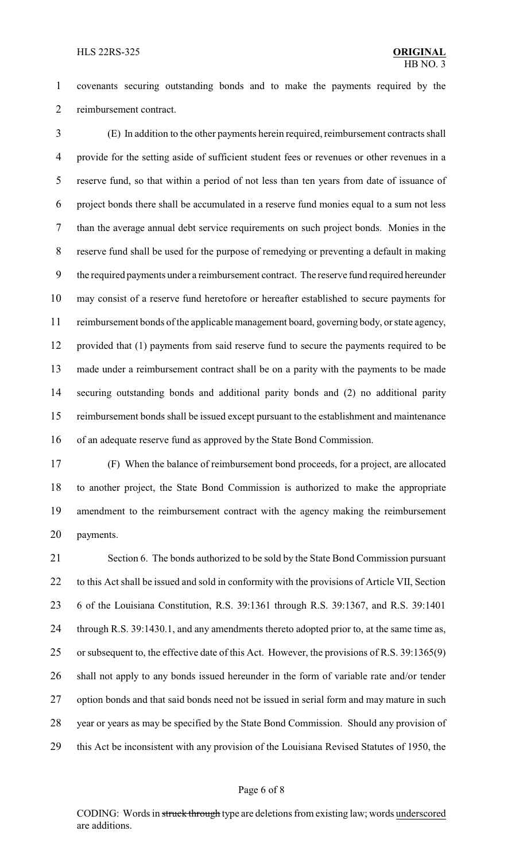covenants securing outstanding bonds and to make the payments required by the reimbursement contract.

 (E) In addition to the other payments herein required, reimbursement contracts shall provide for the setting aside of sufficient student fees or revenues or other revenues in a reserve fund, so that within a period of not less than ten years from date of issuance of project bonds there shall be accumulated in a reserve fund monies equal to a sum not less than the average annual debt service requirements on such project bonds. Monies in the reserve fund shall be used for the purpose of remedying or preventing a default in making the required payments under a reimbursement contract. The reserve fund required hereunder may consist of a reserve fund heretofore or hereafter established to secure payments for reimbursement bonds of the applicable management board, governing body, or state agency, provided that (1) payments from said reserve fund to secure the payments required to be made under a reimbursement contract shall be on a parity with the payments to be made securing outstanding bonds and additional parity bonds and (2) no additional parity reimbursement bonds shall be issued except pursuant to the establishment and maintenance of an adequate reserve fund as approved by the State Bond Commission.

 (F) When the balance of reimbursement bond proceeds, for a project, are allocated to another project, the State Bond Commission is authorized to make the appropriate amendment to the reimbursement contract with the agency making the reimbursement payments.

 Section 6. The bonds authorized to be sold by the State Bond Commission pursuant to this Act shall be issued and sold in conformity with the provisions of Article VII, Section 6 of the Louisiana Constitution, R.S. 39:1361 through R.S. 39:1367, and R.S. 39:1401 24 through R.S. 39:1430.1, and any amendments thereto adopted prior to, at the same time as, or subsequent to, the effective date of this Act. However, the provisions of R.S. 39:1365(9) shall not apply to any bonds issued hereunder in the form of variable rate and/or tender option bonds and that said bonds need not be issued in serial form and may mature in such year or years as may be specified by the State Bond Commission. Should any provision of this Act be inconsistent with any provision of the Louisiana Revised Statutes of 1950, the

# Page 6 of 8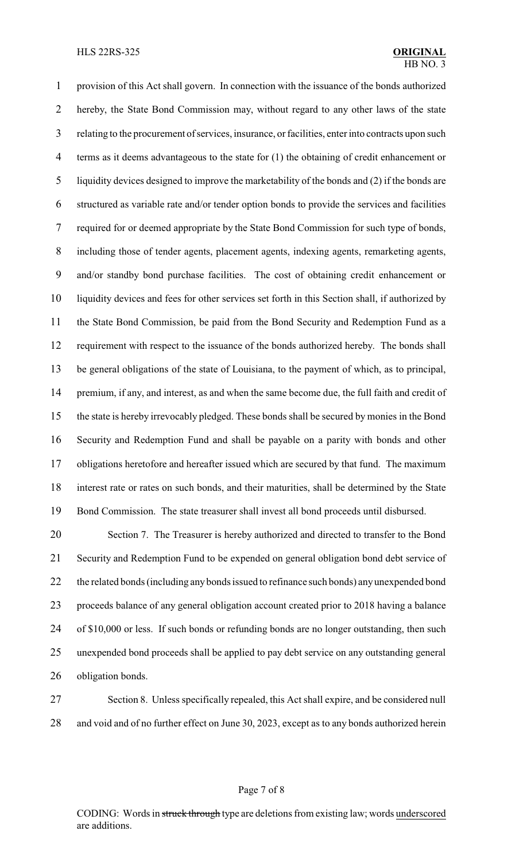provision of this Act shall govern. In connection with the issuance of the bonds authorized hereby, the State Bond Commission may, without regard to any other laws of the state relating to the procurement of services, insurance, or facilities, enter into contracts upon such terms as it deems advantageous to the state for (1) the obtaining of credit enhancement or liquidity devices designed to improve the marketability of the bonds and (2) if the bonds are structured as variable rate and/or tender option bonds to provide the services and facilities required for or deemed appropriate by the State Bond Commission for such type of bonds, including those of tender agents, placement agents, indexing agents, remarketing agents, and/or standby bond purchase facilities. The cost of obtaining credit enhancement or liquidity devices and fees for other services set forth in this Section shall, if authorized by the State Bond Commission, be paid from the Bond Security and Redemption Fund as a requirement with respect to the issuance of the bonds authorized hereby. The bonds shall be general obligations of the state of Louisiana, to the payment of which, as to principal, premium, if any, and interest, as and when the same become due, the full faith and credit of the state is hereby irrevocably pledged. These bonds shall be secured by monies in the Bond Security and Redemption Fund and shall be payable on a parity with bonds and other obligations heretofore and hereafter issued which are secured by that fund. The maximum interest rate or rates on such bonds, and their maturities, shall be determined by the State Bond Commission. The state treasurer shall invest all bond proceeds until disbursed.

 Section 7. The Treasurer is hereby authorized and directed to transfer to the Bond Security and Redemption Fund to be expended on general obligation bond debt service of the related bonds (including any bonds issued to refinance such bonds) anyunexpended bond proceeds balance of any general obligation account created prior to 2018 having a balance of \$10,000 or less. If such bonds or refunding bonds are no longer outstanding, then such unexpended bond proceeds shall be applied to pay debt service on any outstanding general obligation bonds.

 Section 8. Unless specifically repealed, this Act shall expire, and be considered null and void and of no further effect on June 30, 2023, except as to any bonds authorized herein